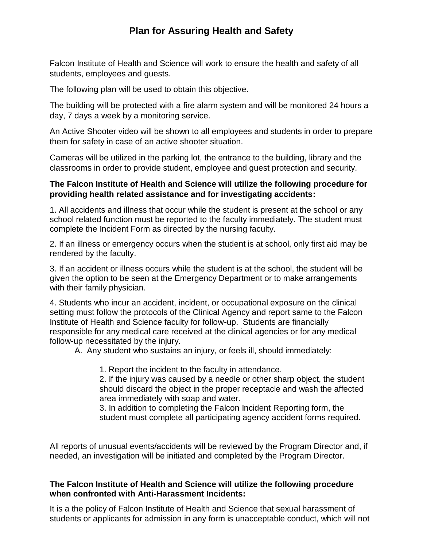# **Plan for Assuring Health and Safety**

Falcon Institute of Health and Science will work to ensure the health and safety of all students, employees and guests.

The following plan will be used to obtain this objective.

The building will be protected with a fire alarm system and will be monitored 24 hours a day, 7 days a week by a monitoring service.

An Active Shooter video will be shown to all employees and students in order to prepare them for safety in case of an active shooter situation.

Cameras will be utilized in the parking lot, the entrance to the building, library and the classrooms in order to provide student, employee and guest protection and security.

# **The Falcon Institute of Health and Science will utilize the following procedure for providing health related assistance and for investigating accidents:**

1. All accidents and illness that occur while the student is present at the school or any school related function must be reported to the faculty immediately. The student must complete the Incident Form as directed by the nursing faculty.

2. If an illness or emergency occurs when the student is at school, only first aid may be rendered by the faculty.

3. If an accident or illness occurs while the student is at the school, the student will be given the option to be seen at the Emergency Department or to make arrangements with their family physician.

4. Students who incur an accident, incident, or occupational exposure on the clinical setting must follow the protocols of the Clinical Agency and report same to the Falcon Institute of Health and Science faculty for follow-up. Students are financially responsible for any medical care received at the clinical agencies or for any medical follow-up necessitated by the injury.

A. Any student who sustains an injury, or feels ill, should immediately:

1. Report the incident to the faculty in attendance.

2. If the injury was caused by a needle or other sharp object, the student should discard the object in the proper receptacle and wash the affected area immediately with soap and water.

3. In addition to completing the Falcon Incident Reporting form, the student must complete all participating agency accident forms required.

All reports of unusual events/accidents will be reviewed by the Program Director and, if needed, an investigation will be initiated and completed by the Program Director.

## **The Falcon Institute of Health and Science will utilize the following procedure when confronted with Anti-Harassment Incidents:**

It is a the policy of Falcon Institute of Health and Science that sexual harassment of students or applicants for admission in any form is unacceptable conduct, which will not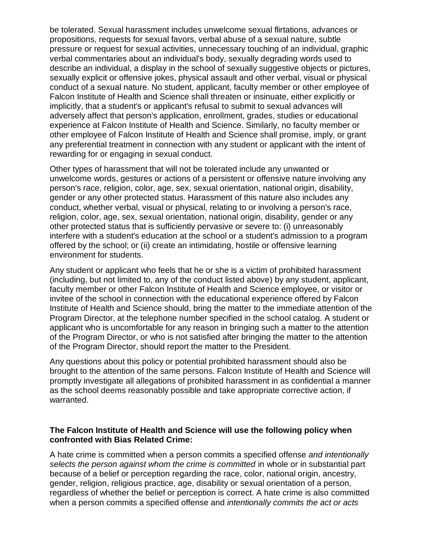be tolerated. Sexual harassment includes unwelcome sexual flirtations, advances or propositions, requests for sexual favors, verbal abuse of a sexual nature, subtle pressure or request for sexual activities, unnecessary touching of an individual, graphic verbal commentaries about an individual's body, sexually degrading words used to describe an individual, a display in the school of sexually suggestive objects or pictures, sexually explicit or offensive jokes, physical assault and other verbal, visual or physical conduct of a sexual nature. No student, applicant, faculty member or other employee of Falcon Institute of Health and Science shall threaten or insinuate, either explicitly or implicitly, that a student's or applicant's refusal to submit to sexual advances will adversely affect that person's application, enrollment, grades, studies or educational experience at Falcon Institute of Health and Science. Similarly, no faculty member or other employee of Falcon Institute of Health and Science shall promise, imply, or grant any preferential treatment in connection with any student or applicant with the intent of rewarding for or engaging in sexual conduct.

Other types of harassment that will not be tolerated include any unwanted or unwelcome words, gestures or actions of a persistent or offensive nature involving any person's race, religion, color, age, sex, sexual orientation, national origin, disability, gender or any other protected status. Harassment of this nature also includes any conduct, whether verbal, visual or physical, relating to or involving a person's race, religion, color, age, sex, sexual orientation, national origin, disability, gender or any other protected status that is sufficiently pervasive or severe to: (i) unreasonably interfere with a student's education at the school or a student's admission to a program offered by the school; or (ii) create an intimidating, hostile or offensive learning environment for students.

Any student or applicant who feels that he or she is a victim of prohibited harassment (including, but not limited to, any of the conduct listed above) by any student, applicant, faculty member or other Falcon Institute of Health and Science employee, or visitor or invitee of the school in connection with the educational experience offered by Falcon Institute of Health and Science should, bring the matter to the immediate attention of the Program Director, at the telephone number specified in the school catalog. A student or applicant who is uncomfortable for any reason in bringing such a matter to the attention of the Program Director, or who is not satisfied after bringing the matter to the attention of the Program Director, should report the matter to the President.

Any questions about this policy or potential prohibited harassment should also be brought to the attention of the same persons. Falcon Institute of Health and Science will promptly investigate all allegations of prohibited harassment in as confidential a manner as the school deems reasonably possible and take appropriate corrective action, if warranted.

#### **The Falcon Institute of Health and Science will use the following policy when confronted with Bias Related Crime:**

A hate crime is committed when a person commits a specified offense *and intentionally*  selects the person against whom the crime is committed in whole or in substantial part because of a belief or perception regarding the race, color, national origin, ancestry, gender, religion, religious practice, age, disability or sexual orientation of a person, regardless of whether the belief or perception is correct. A hate crime is also committed when a person commits a specified offense and *intentionally commits the act or acts*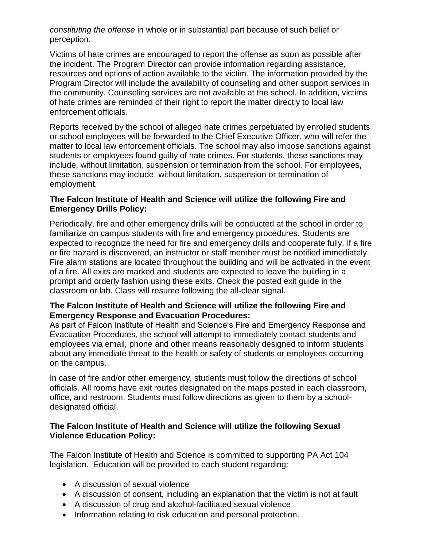*constituting the offense* in whole or in substantial part because of such belief or perception.

Victims of hate crimes are encouraged to report the offense as soon as possible after the incident. The Program Director can provide information regarding assistance, resources and options of action available to the victim. The information provided by the Program Director will include the availability of counseling and other support services in the community. Counseling services are not available at the school. In addition, victims of hate crimes are reminded of their right to report the matter directly to local law enforcement officials.

Reports received by the school of alleged hate crimes perpetuated by enrolled students or school employees will be forwarded to the Chief Executive Officer, who will refer the matter to local law enforcement officials. The school may also impose sanctions against students or employees found guilty of hate crimes. For students, these sanctions may include, without limitation, suspension or termination from the school. For employees, these sanctions may include, without limitation, suspension or termination of employment.

# **The Falcon Institute of Health and Science will utilize the following Fire and Emergency Drills Policy:**

Periodically, fire and other emergency drills will be conducted at the school in order to familiarize on campus students with fire and emergency procedures. Students are expected to recognize the need for fire and emergency drills and cooperate fully. If a fire or fire hazard is discovered, an instructor or staff member must be notified immediately. Fire alarm stations are located throughout the building and will be activated in the event of a fire. All exits are marked and students are expected to leave the building in a prompt and orderly fashion using these exits. Check the posted exit guide in the classroom or lab. Class will resume following the all-clear signal.

## **The Falcon Institute of Health and Science will utilize the following Fire and Emergency Response and Evacuation Procedures:**

As part of Falcon Institute of Health and Science's Fire and Emergency Response and Evacuation Procedures, the school will attempt to immediately contact students and employees via email, phone and other means reasonably designed to inform students about any immediate threat to the health or safety of students or employees occurring on the campus.

In case of fire and/or other emergency, students must follow the directions of school officials. All rooms have exit routes designated on the maps posted in each classroom, office, and restroom. Students must follow directions as given to them by a schooldesignated official.

## **The Falcon Institute of Health and Science will utilize the following Sexual Violence Education Policy:**

The Falcon Institute of Health and Science is committed to supporting PA Act 104 legislation. Education will be provided to each student regarding:

- A discussion of sexual violence
- A discussion of consent, including an explanation that the victim is not at fault
- A discussion of drug and alcohol-facilitated sexual violence
- Information relating to risk education and personal protection.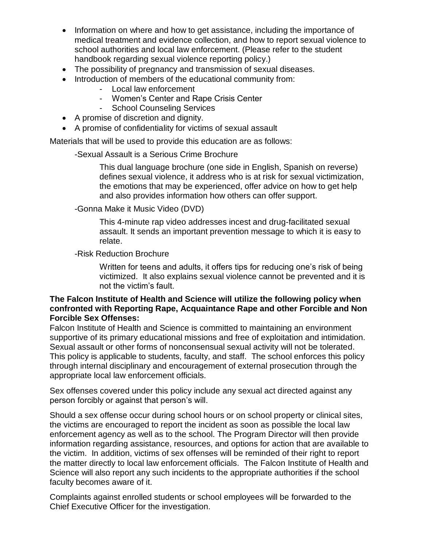- Information on where and how to get assistance, including the importance of medical treatment and evidence collection, and how to report sexual violence to school authorities and local law enforcement. (Please refer to the student handbook regarding sexual violence reporting policy.)
- The possibility of pregnancy and transmission of sexual diseases.
- Introduction of members of the educational community from:
	- Local law enforcement
	- Women's Center and Rape Crisis Center
	- School Counseling Services
- A promise of discretion and dignity.
- A promise of confidentiality for victims of sexual assault

Materials that will be used to provide this education are as follows:

-Sexual Assault is a Serious Crime Brochure

This dual language brochure (one side in English, Spanish on reverse) defines sexual violence, it address who is at risk for sexual victimization, the emotions that may be experienced, offer advice on how to get help and also provides information how others can offer support.

-Gonna Make it Music Video (DVD)

This 4-minute rap video addresses incest and drug-facilitated sexual assault. It sends an important prevention message to which it is easy to relate.

-Risk Reduction Brochure

Written for teens and adults, it offers tips for reducing one's risk of being victimized. It also explains sexual violence cannot be prevented and it is not the victim's fault.

#### **The Falcon Institute of Health and Science will utilize the following policy when confronted with Reporting Rape, Acquaintance Rape and other Forcible and Non Forcible Sex Offenses:**

Falcon Institute of Health and Science is committed to maintaining an environment supportive of its primary educational missions and free of exploitation and intimidation. Sexual assault or other forms of nonconsensual sexual activity will not be tolerated. This policy is applicable to students, faculty, and staff. The school enforces this policy through internal disciplinary and encouragement of external prosecution through the appropriate local law enforcement officials.

Sex offenses covered under this policy include any sexual act directed against any person forcibly or against that person's will.

Should a sex offense occur during school hours or on school property or clinical sites, the victims are encouraged to report the incident as soon as possible the local law enforcement agency as well as to the school. The Program Director will then provide information regarding assistance, resources, and options for action that are available to the victim. In addition, victims of sex offenses will be reminded of their right to report the matter directly to local law enforcement officials. The Falcon Institute of Health and Science will also report any such incidents to the appropriate authorities if the school faculty becomes aware of it.

Complaints against enrolled students or school employees will be forwarded to the Chief Executive Officer for the investigation.